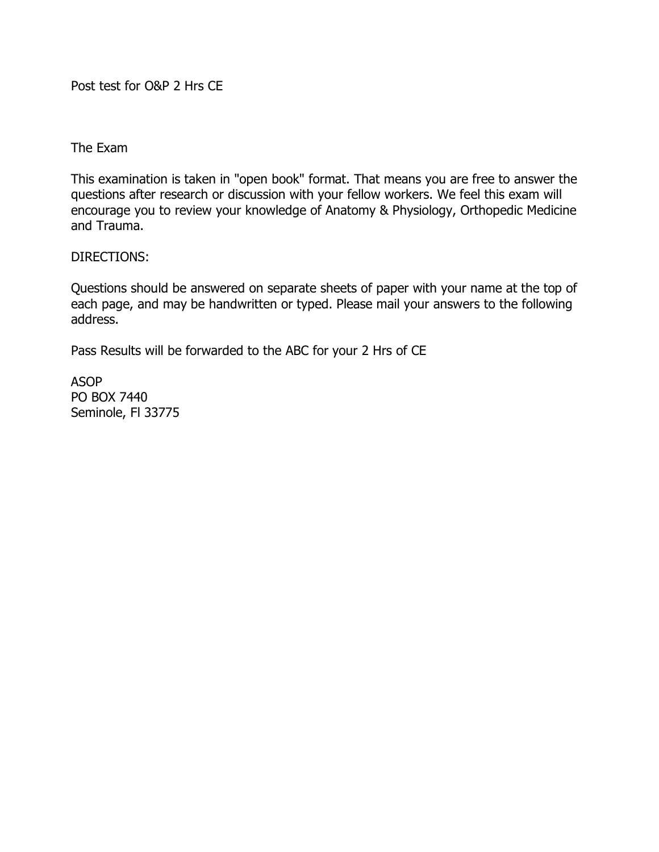Post test for O&P 2 Hrs CE

The Exam

This examination is taken in "open book" format. That means you are free to answer the questions after research or discussion with your fellow workers. We feel this exam will encourage you to review your knowledge of Anatomy & Physiology, Orthopedic Medicine and Trauma.

DIRECTIONS:

Questions should be answered on separate sheets of paper with your name at the top of each page, and may be handwritten or typed. Please mail your answers to the following address.

Pass Results will be forwarded to the ABC for your 2 Hrs of CE

ASOP PO BOX 7440 Seminole, Fl 33775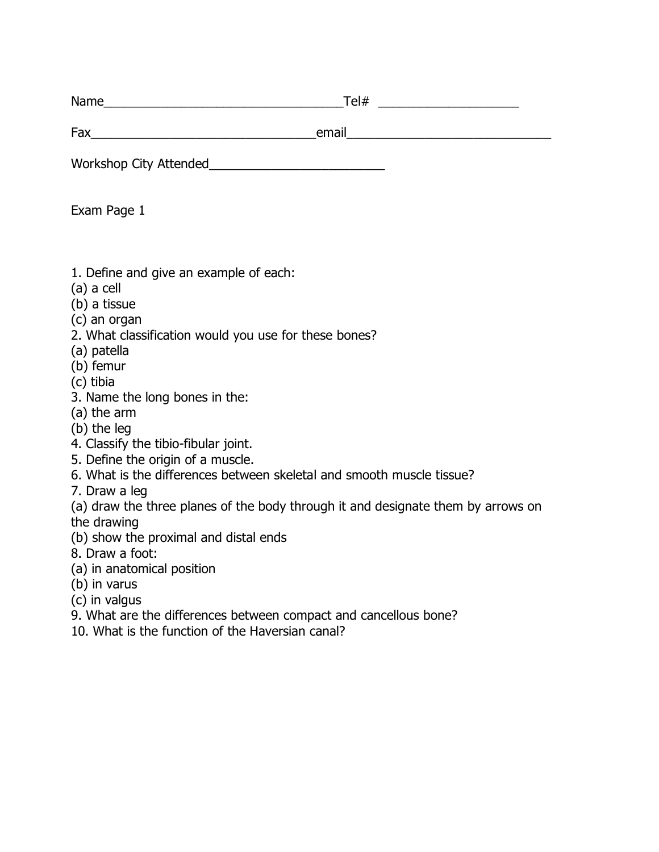Name\_\_\_\_\_\_\_\_\_\_\_\_\_\_\_\_\_\_\_\_\_\_\_\_\_\_\_\_\_\_\_\_\_\_Tel# \_\_\_\_\_\_\_\_\_\_\_\_\_\_\_\_\_\_\_\_

Fax\_\_\_\_\_\_\_\_\_\_\_\_\_\_\_\_\_\_\_\_\_\_\_\_\_\_\_\_\_\_\_\_email\_\_\_\_\_\_\_\_\_\_\_\_\_\_\_\_\_\_\_\_\_\_\_\_\_\_\_\_\_

Workshop City Attended\_\_\_\_\_\_\_\_\_\_\_\_\_\_\_\_\_\_\_\_\_\_\_\_\_

Exam Page 1

- 1. Define and give an example of each:
- (a) a cell
- (b) a tissue
- (c) an organ
- 2. What classification would you use for these bones?
- (a) patella
- (b) femur
- (c) tibia
- 3. Name the long bones in the:
- (a) the arm
- (b) the leg
- 4. Classify the tibio-fibular joint.
- 5. Define the origin of a muscle.
- 6. What is the differences between skeletal and smooth muscle tissue?
- 7. Draw a leg
- (a) draw the three planes of the body through it and designate them by arrows on the drawing
- (b) show the proximal and distal ends
- 8. Draw a foot:
- (a) in anatomical position
- (b) in varus
- (c) in valgus
- 9. What are the differences between compact and cancellous bone?
- 10. What is the function of the Haversian canal?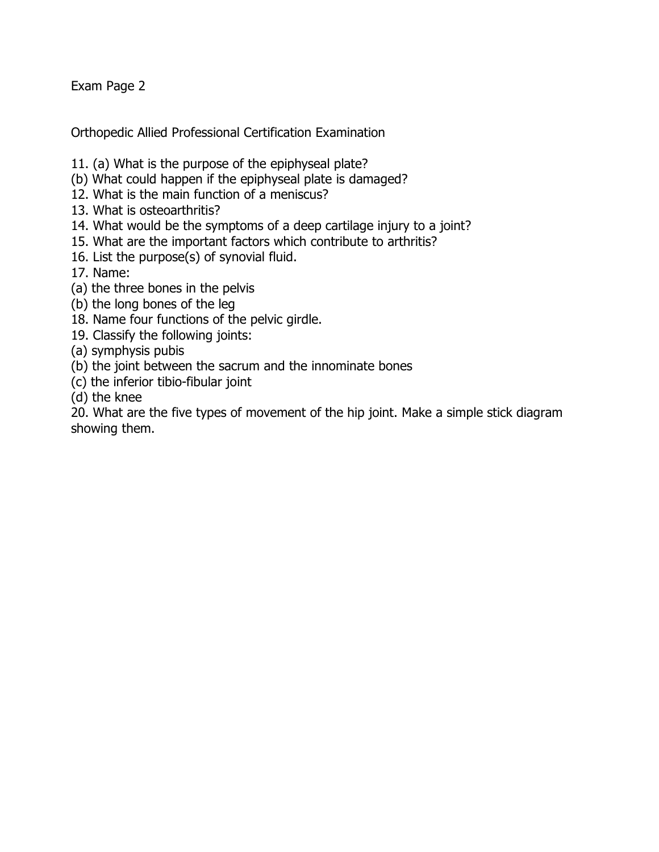Orthopedic Allied Professional Certification Examination

- 11. (a) What is the purpose of the epiphyseal plate?
- (b) What could happen if the epiphyseal plate is damaged?
- 12. What is the main function of a meniscus?
- 13. What is osteoarthritis?
- 14. What would be the symptoms of a deep cartilage injury to a joint?
- 15. What are the important factors which contribute to arthritis?
- 16. List the purpose(s) of synovial fluid.

17. Name:

- (a) the three bones in the pelvis
- (b) the long bones of the leg
- 18. Name four functions of the pelvic girdle.
- 19. Classify the following joints:
- (a) symphysis pubis
- (b) the joint between the sacrum and the innominate bones
- (c) the inferior tibio-fibular joint
- (d) the knee

20. What are the five types of movement of the hip joint. Make a simple stick diagram showing them.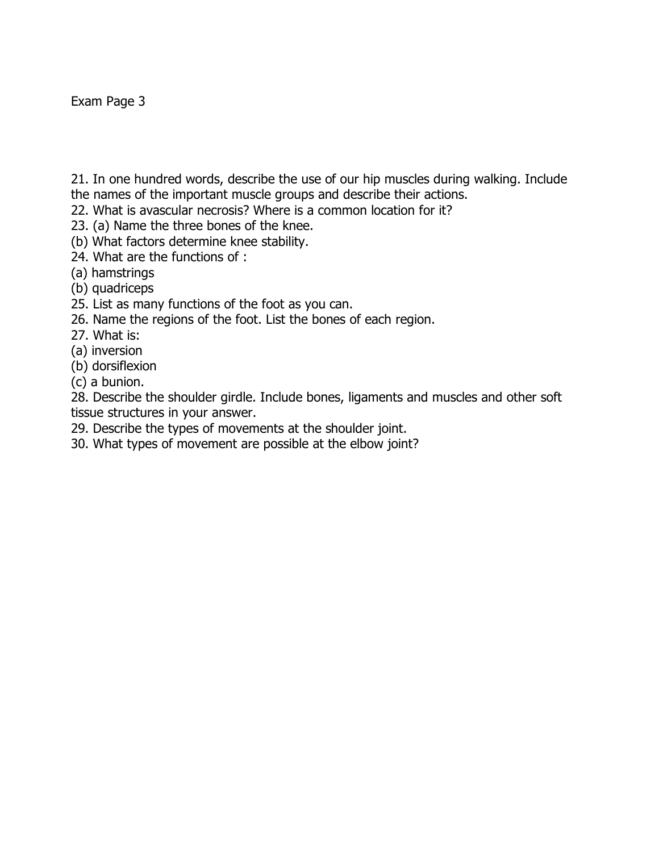21. In one hundred words, describe the use of our hip muscles during walking. Include the names of the important muscle groups and describe their actions.

- 22. What is avascular necrosis? Where is a common location for it?
- 23. (a) Name the three bones of the knee.
- (b) What factors determine knee stability.
- 24. What are the functions of :
- (a) hamstrings
- (b) quadriceps
- 25. List as many functions of the foot as you can.
- 26. Name the regions of the foot. List the bones of each region.
- 27. What is:
- (a) inversion
- (b) dorsiflexion
- (c) a bunion.

28. Describe the shoulder girdle. Include bones, ligaments and muscles and other soft tissue structures in your answer.

- 29. Describe the types of movements at the shoulder joint.
- 30. What types of movement are possible at the elbow joint?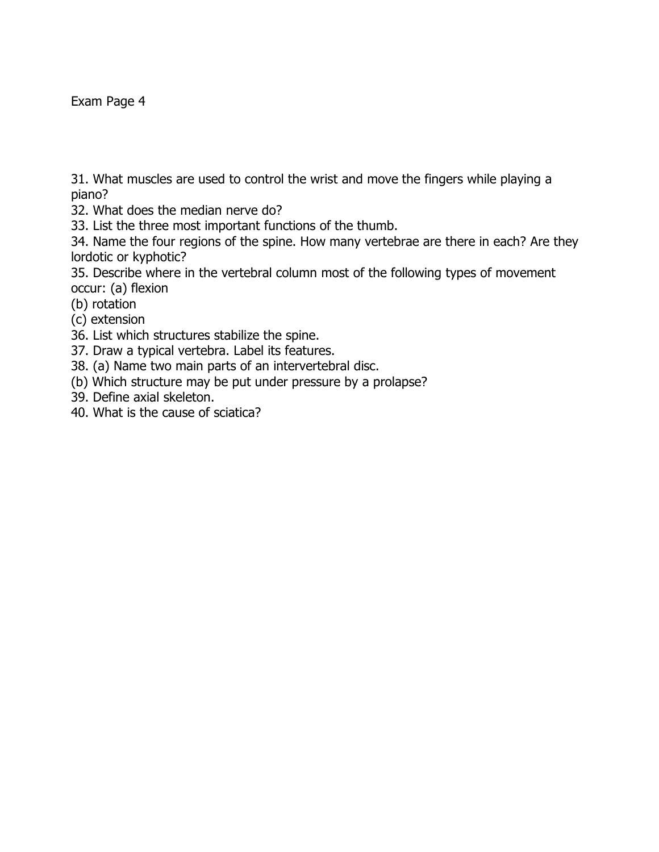31. What muscles are used to control the wrist and move the fingers while playing a piano?

32. What does the median nerve do?

33. List the three most important functions of the thumb.

34. Name the four regions of the spine. How many vertebrae are there in each? Are they lordotic or kyphotic?

35. Describe where in the vertebral column most of the following types of movement occur: (a) flexion

- (b) rotation
- (c) extension
- 36. List which structures stabilize the spine.
- 37. Draw a typical vertebra. Label its features.
- 38. (a) Name two main parts of an intervertebral disc.
- (b) Which structure may be put under pressure by a prolapse?
- 39. Define axial skeleton.
- 40. What is the cause of sciatica?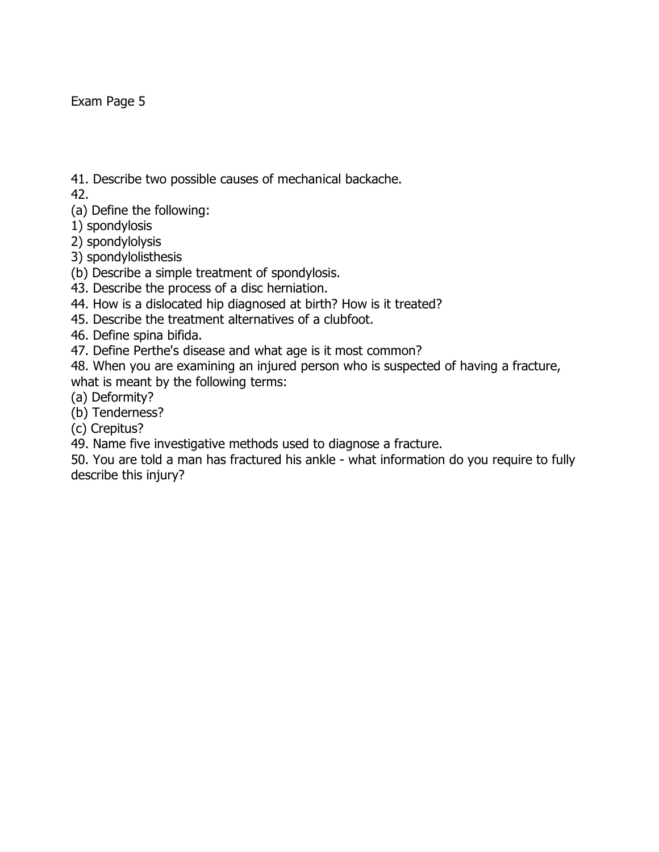41. Describe two possible causes of mechanical backache.

42.

(a) Define the following:

1) spondylosis

2) spondylolysis

3) spondylolisthesis

(b) Describe a simple treatment of spondylosis.

43. Describe the process of a disc herniation.

44. How is a dislocated hip diagnosed at birth? How is it treated?

45. Describe the treatment alternatives of a clubfoot.

46. Define spina bifida.

47. Define Perthe's disease and what age is it most common?

48. When you are examining an injured person who is suspected of having a fracture, what is meant by the following terms:

(a) Deformity?

(b) Tenderness?

(c) Crepitus?

49. Name five investigative methods used to diagnose a fracture.

50. You are told a man has fractured his ankle - what information do you require to fully describe this injury?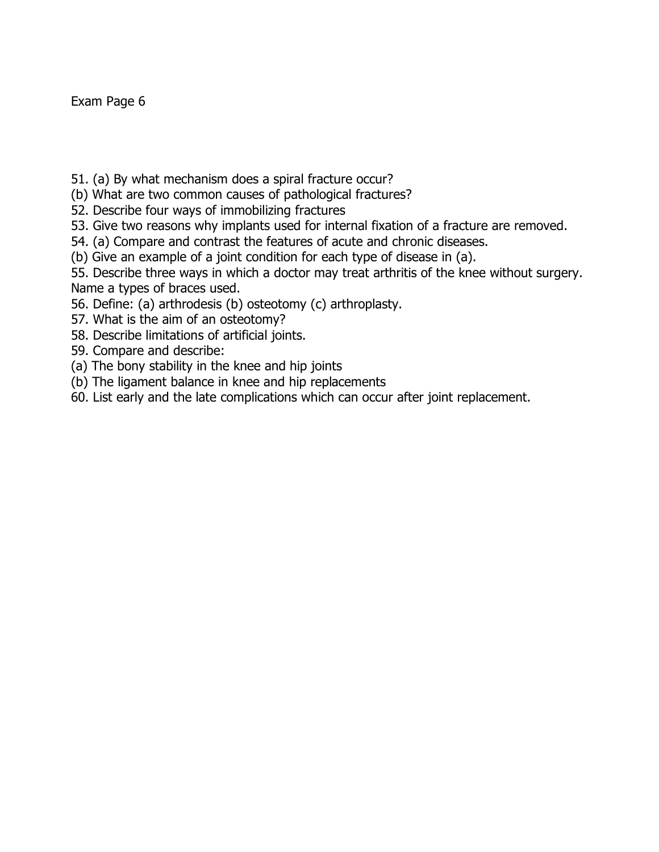- 51. (a) By what mechanism does a spiral fracture occur?
- (b) What are two common causes of pathological fractures?
- 52. Describe four ways of immobilizing fractures
- 53. Give two reasons why implants used for internal fixation of a fracture are removed.
- 54. (a) Compare and contrast the features of acute and chronic diseases.
- (b) Give an example of a joint condition for each type of disease in (a).
- 55. Describe three ways in which a doctor may treat arthritis of the knee without surgery. Name a types of braces used.
- 56. Define: (a) arthrodesis (b) osteotomy (c) arthroplasty.
- 57. What is the aim of an osteotomy?
- 58. Describe limitations of artificial joints.
- 59. Compare and describe:
- (a) The bony stability in the knee and hip joints
- (b) The ligament balance in knee and hip replacements
- 60. List early and the late complications which can occur after joint replacement.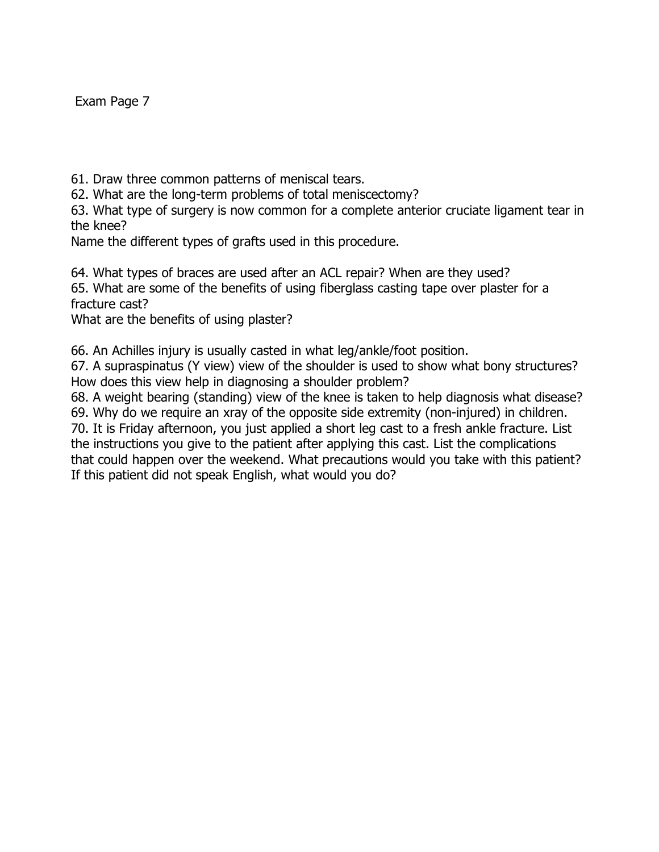61. Draw three common patterns of meniscal tears.

62. What are the long-term problems of total meniscectomy?

63. What type of surgery is now common for a complete anterior cruciate ligament tear in the knee?

Name the different types of grafts used in this procedure.

64. What types of braces are used after an ACL repair? When are they used? 65. What are some of the benefits of using fiberglass casting tape over plaster for a fracture cast?

What are the benefits of using plaster?

66. An Achilles injury is usually casted in what leg/ankle/foot position.

67. A supraspinatus (Y view) view of the shoulder is used to show what bony structures? How does this view help in diagnosing a shoulder problem?

68. A weight bearing (standing) view of the knee is taken to help diagnosis what disease? 69. Why do we require an xray of the opposite side extremity (non-injured) in children.

70. It is Friday afternoon, you just applied a short leg cast to a fresh ankle fracture. List the instructions you give to the patient after applying this cast. List the complications that could happen over the weekend. What precautions would you take with this patient? If this patient did not speak English, what would you do?